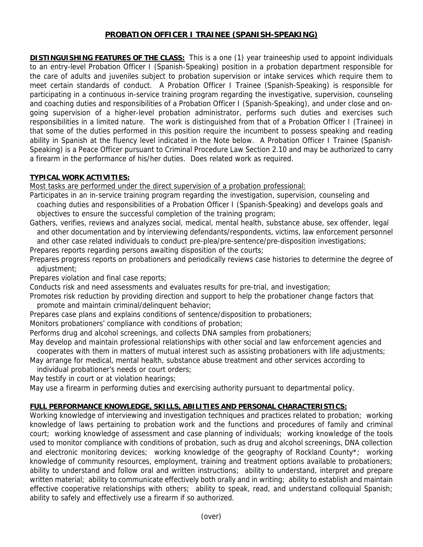## **PROBATION OFFICER I TRAINEE (SPANISH-SPEAKING)**

**DISTINGUISHING FEATURES OF THE CLASS:** This is a one (1) year traineeship used to appoint individuals to an entry-level Probation Officer I (Spanish-Speaking) position in a probation department responsible for the care of adults and juveniles subject to probation supervision or intake services which require them to meet certain standards of conduct. A Probation Officer I Trainee (Spanish-Speaking) is responsible for participating in a continuous in-service training program regarding the investigative, supervision, counseling and coaching duties and responsibilities of a Probation Officer I (Spanish-Speaking), and under close and ongoing supervision of a higher-level probation administrator, performs such duties and exercises such responsibilities in a limited nature. The work is distinguished from that of a Probation Officer I (Trainee) in that some of the duties performed in this position require the incumbent to possess speaking and reading ability in Spanish at the fluency level indicated in the Note below. A Probation Officer I Trainee (Spanish-Speaking) is a Peace Officer pursuant to Criminal Procedure Law Section 2.10 and may be authorized to carry a firearm in the performance of his/her duties. Does related work as required.

## **TYPICAL WORK ACTIVITIES:**

Most tasks are performed under the direct supervision of a probation professional:

- Participates in an in-service training program regarding the investigation, supervision, counseling and coaching duties and responsibilities of a Probation Officer I (Spanish-Speaking) and develops goals and objectives to ensure the successful completion of the training program;
- Gathers, verifies, reviews and analyzes social, medical, mental health, substance abuse, sex offender, legal and other documentation and by interviewing defendants/respondents, victims, law enforcement personnel and other case related individuals to conduct pre-plea/pre-sentence/pre-disposition investigations;
- Prepares reports regarding persons awaiting disposition of the courts;
- Prepares progress reports on probationers and periodically reviews case histories to determine the degree of adjustment;

Prepares violation and final case reports;

Conducts risk and need assessments and evaluates results for pre-trial, and investigation;

- Promotes risk reduction by providing direction and support to help the probationer change factors that promote and maintain criminal/delinquent behavior;
- Prepares case plans and explains conditions of sentence/disposition to probationers;
- Monitors probationers' compliance with conditions of probation;

Performs drug and alcohol screenings, and collects DNA samples from probationers;

May develop and maintain professional relationships with other social and law enforcement agencies and cooperates with them in matters of mutual interest such as assisting probationers with life adjustments;

May arrange for medical, mental health, substance abuse treatment and other services according to

individual probationer's needs or court orders;

May testify in court or at violation hearings;

May use a firearm in performing duties and exercising authority pursuant to departmental policy.

# **FULL PERFORMANCE KNOWLEDGE, SKILLS, ABILITIES AND PERSONAL CHARACTERISTICS:**

Working knowledge of interviewing and investigation techniques and practices related to probation; working knowledge of laws pertaining to probation work and the functions and procedures of family and criminal court; working knowledge of assessment and case planning of individuals; working knowledge of the tools used to monitor compliance with conditions of probation, such as drug and alcohol screenings, DNA collection and electronic monitoring devices; working knowledge of the geography of Rockland County\*; working knowledge of community resources, employment, training and treatment options available to probationers; ability to understand and follow oral and written instructions; ability to understand, interpret and prepare written material; ability to communicate effectively both orally and in writing; ability to establish and maintain effective cooperative relationships with others; ability to speak, read, and understand colloquial Spanish; ability to safely and effectively use a firearm if so authorized.